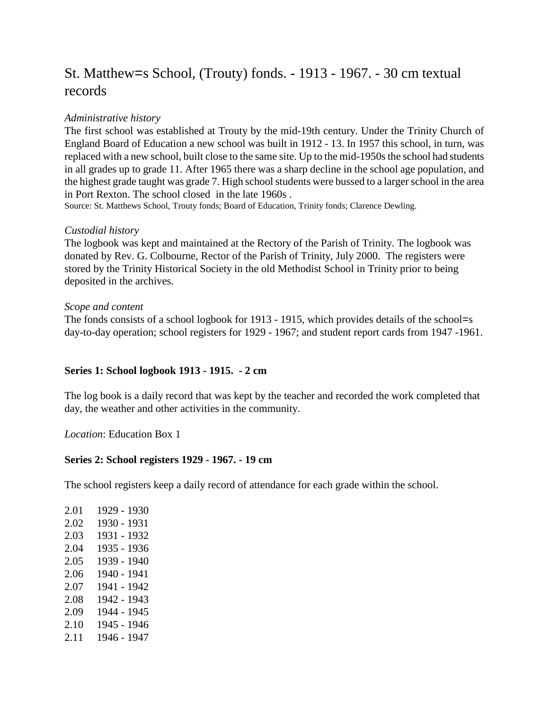# St. Matthew=s School, (Trouty) fonds. - 1913 - 1967. - 30 cm textual records

# *Administrative history*

The first school was established at Trouty by the mid-19th century. Under the Trinity Church of England Board of Education a new school was built in 1912 - 13. In 1957 this school, in turn, was replaced with a new school, built close to the same site. Up to the mid-1950s the school had students in all grades up to grade 11. After 1965 there was a sharp decline in the school age population, and the highest grade taught was grade 7. High school students were bussed to a larger school in the area in Port Rexton. The school closed in the late 1960s .

Source: St. Matthews School, Trouty fonds; Board of Education, Trinity fonds; Clarence Dewling.

#### *Custodial history*

The logbook was kept and maintained at the Rectory of the Parish of Trinity. The logbook was donated by Rev. G. Colbourne, Rector of the Parish of Trinity, July 2000. The registers were stored by the Trinity Historical Society in the old Methodist School in Trinity prior to being deposited in the archives.

#### *Scope and content*

The fonds consists of a school logbook for 1913 - 1915, which provides details of the school=s day-to-day operation; school registers for 1929 - 1967; and student report cards from 1947 -1961.

# **Series 1: School logbook 1913 - 1915. - 2 cm**

The log book is a daily record that was kept by the teacher and recorded the work completed that day, the weather and other activities in the community.

*Location*: Education Box 1

# **Series 2: School registers 1929 - 1967. - 19 cm**

The school registers keep a daily record of attendance for each grade within the school.

2.01 1929 - 1930 2.02 1930 - 1931 2.03 1931 - 1932 2.04 1935 - 1936 2.05 1939 - 1940 2.06 1940 - 1941 2.07 1941 - 1942 2.08 1942 - 1943 2.09 1944 - 1945 2.10 1945 - 1946 2.11 1946 - 1947